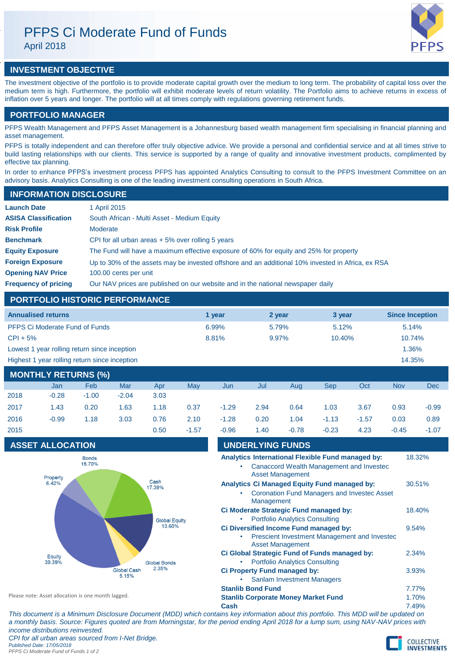# PFPS Ci Moderate Fund of Funds

April 2018



## **INVESTMENT OBJECTIVE**

The investment objective of the portfolio is to provide moderate capital growth over the medium to long term. The probability of capital loss over the medium term is high. Furthermore, the portfolio will exhibit moderate levels of return volatility. The Portfolio aims to achieve returns in excess of inflation over 5 years and longer. The portfolio will at all times comply with regulations governing retirement funds.

## **PORTFOLIO MANAGER**

PFPS Wealth Management and PFPS Asset Management is a Johannesburg based wealth management firm specialising in financial planning and asset management.

PFPS is totally independent and can therefore offer truly objective advice. We provide a personal and confidential service and at all times strive to build lasting relationships with our clients. This service is supported by a range of quality and innovative investment products, complimented by effective tax planning.

In order to enhance PFPS's investment process PFPS has appointed Analytics Consulting to consult to the PFPS Investment Committee on an advisory basis. Analytics Consulting is one of the leading investment consulting operations in South Africa.

| <b>INFORMATION DISCLOSURE</b> |                                                                                                   |  |  |  |  |  |
|-------------------------------|---------------------------------------------------------------------------------------------------|--|--|--|--|--|
| <b>Launch Date</b>            | 1 April 2015                                                                                      |  |  |  |  |  |
| <b>ASISA Classification</b>   | South African - Multi Asset - Medium Equity                                                       |  |  |  |  |  |
| <b>Risk Profile</b>           | Moderate                                                                                          |  |  |  |  |  |
| <b>Benchmark</b>              | CPI for all urban areas $+5\%$ over rolling 5 years                                               |  |  |  |  |  |
| <b>Equity Exposure</b>        | The Fund will have a maximum effective exposure of 60% for equity and 25% for property            |  |  |  |  |  |
| <b>Foreign Exposure</b>       | Up to 30% of the assets may be invested offshore and an additional 10% invested in Africa, ex RSA |  |  |  |  |  |
| <b>Opening NAV Price</b>      | 100.00 cents per unit                                                                             |  |  |  |  |  |
| <b>Frequency of pricing</b>   | Our NAV prices are published on our website and in the national newspaper daily                   |  |  |  |  |  |

## **PORTFOLIO HISTORIC PERFORMANCE**

| <b>Annualised returns</b>                                                                                                                                                                                                                                                                                                          | 1 vear | 2 year | 3 year | <b>Since Inception</b> |
|------------------------------------------------------------------------------------------------------------------------------------------------------------------------------------------------------------------------------------------------------------------------------------------------------------------------------------|--------|--------|--------|------------------------|
| PFPS Ci Moderate Fund of Funds                                                                                                                                                                                                                                                                                                     | 6.99%  | 5.79%  | 5.12%  | 5.14%                  |
| $CPI + 5%$                                                                                                                                                                                                                                                                                                                         | 8.81%  | 9.97%  | 10.40% | 10.74%                 |
| Lowest 1 year rolling return since inception                                                                                                                                                                                                                                                                                       |        |        |        | 1.36%                  |
| Highest 1 year rolling return since inception                                                                                                                                                                                                                                                                                      | 14.35% |        |        |                        |
| $\mathbf{1}$ $\mathbf{2}$ $\mathbf{3}$ $\mathbf{3}$ $\mathbf{4}$ $\mathbf{5}$ $\mathbf{5}$ $\mathbf{5}$ $\mathbf{5}$ $\mathbf{5}$ $\mathbf{1}$ $\mathbf{2}$ $\mathbf{3}$ $\mathbf{1}$ $\mathbf{3}$ $\mathbf{1}$ $\mathbf{3}$ $\mathbf{1}$ $\mathbf{3}$ $\mathbf{1}$ $\mathbf{3}$ $\mathbf{1}$ $\mathbf{3}$ $\mathbf{1}$ $\mathbf{$ |        |        |        |                        |

| MONTHLY RETURNS (%) |         |         |         |      |         |         |      |         |         |         |            |         |
|---------------------|---------|---------|---------|------|---------|---------|------|---------|---------|---------|------------|---------|
|                     | Jan     | Feb     | Mar     | Apr  | May     | Jun     | Jul  | Aug     | Sep     | Oct     | <b>Nov</b> | Dec     |
| 2018                | $-0.28$ | $-1.00$ | $-2.04$ | 3.03 |         |         |      |         |         |         |            |         |
| 2017                | 1.43    | 0.20    | 1.63    | 1.18 | 0.37    | $-1.29$ | 2.94 | 0.64    | 1.03    | 3.67    | 0.93       | $-0.99$ |
| 2016                | $-0.99$ | 1.18    | 3.03    | 0.76 | 2.10    | $-1.28$ | 0.20 | 1.04    | $-1.13$ | $-1.57$ | 0.03       | 0.89    |
| 2015                |         |         |         | 0.50 | $-1.57$ | $-0.96$ | 1.40 | $-0.78$ | $-0.23$ | 4.23    | $-0.45$    | $-1.07$ |

## **ASSET ALLOCATION**



|  | <b>UNDERLYING FUNDS</b>  |                                       |                                                    |        |  |
|--|--------------------------|---------------------------------------|----------------------------------------------------|--------|--|
|  |                          |                                       | Analytics International Flexible Fund managed by:  | 18.32% |  |
|  |                          | <b>Asset Management</b>               | <b>Canaccord Wealth Management and Investec</b>    |        |  |
|  |                          |                                       | Analytics Ci Managed Equity Fund managed by:       | 30.51% |  |
|  | Management               |                                       | <b>Coronation Fund Managers and Investec Asset</b> |        |  |
|  |                          |                                       | Ci Moderate Strategic Fund managed by:             | 18.40% |  |
|  |                          | <b>Portfolio Analytics Consulting</b> |                                                    |        |  |
|  |                          |                                       | Ci Diversified Income Fund managed by:             | 9.54%  |  |
|  |                          | <b>Asset Management</b>               | Prescient Investment Management and Investec       |        |  |
|  |                          |                                       | Ci Global Strategic Fund of Funds managed by:      | 2.34%  |  |
|  |                          | <b>Portfolio Analytics Consulting</b> |                                                    |        |  |
|  |                          | Ci Property Fund managed by:          |                                                    | 3.93%  |  |
|  |                          | <b>Sanlam Investment Managers</b>     |                                                    |        |  |
|  | <b>Stanlib Bond Fund</b> |                                       |                                                    | 7.77%  |  |

**Stanlib Corporate Money Market Fund** 1.70%

Please note: Asset allocation is one month lagged.

**Cash** 7.49% *This document is a Minimum Disclosure Document (MDD) which contains key information about this portfolio. This MDD will be updated on a monthly basis. Source: Figures quoted are from Morningstar, for the period ending April 2018 for a lump sum, using NAV-NAV prices with income distributions reinvested. CPI for all urban areas sourced from I-Net Bridge.*

*Published Date: 17/05/2018*